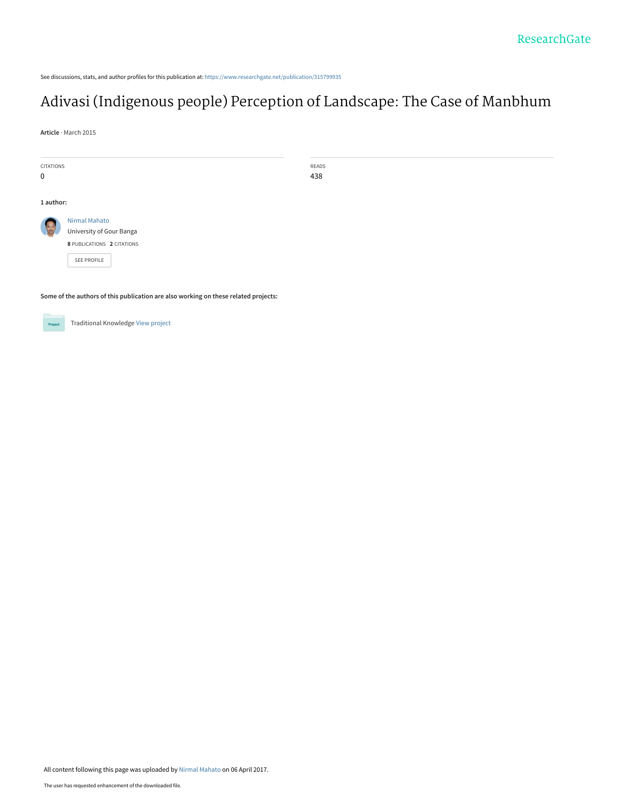See discussions, stats, and author profiles for this publication at: [https://www.researchgate.net/publication/315799935](https://www.researchgate.net/publication/315799935_Adivasi_Indigenous_people_Perception_of_Landscape_The_Case_of_Manbhum?enrichId=rgreq-4a426fc0c77a04f451b7b90520813e53-XXX&enrichSource=Y292ZXJQYWdlOzMxNTc5OTkzNTtBUzo0ODAxNDEzNzA0OTkwNzJAMTQ5MTQ4NjAzMTcwNQ%3D%3D&el=1_x_2&_esc=publicationCoverPdf)

# [Adivasi \(Indigenous people\) Perception of Landscape: The Case of Manbhum](https://www.researchgate.net/publication/315799935_Adivasi_Indigenous_people_Perception_of_Landscape_The_Case_of_Manbhum?enrichId=rgreq-4a426fc0c77a04f451b7b90520813e53-XXX&enrichSource=Y292ZXJQYWdlOzMxNTc5OTkzNTtBUzo0ODAxNDEzNzA0OTkwNzJAMTQ5MTQ4NjAzMTcwNQ%3D%3D&el=1_x_3&_esc=publicationCoverPdf)

READS 438

**Article** · March 2015

| <b>CITATIONS</b> |                                           |
|------------------|-------------------------------------------|
| ŋ                |                                           |
|                  |                                           |
| 1 author:        |                                           |
|                  | Nirmal Mahato<br>University of Gour Banga |
|                  | 8 PUBLICATIONS 2 CITATIONS                |
|                  | <b>SEE PROFILE</b>                        |
|                  |                                           |

**Some of the authors of this publication are also working on these related projects:**



Traditional Knowledge [View project](https://www.researchgate.net/project/Traditional-Knowledge-2?enrichId=rgreq-4a426fc0c77a04f451b7b90520813e53-XXX&enrichSource=Y292ZXJQYWdlOzMxNTc5OTkzNTtBUzo0ODAxNDEzNzA0OTkwNzJAMTQ5MTQ4NjAzMTcwNQ%3D%3D&el=1_x_9&_esc=publicationCoverPdf)

All content following this page was uploaded by [Nirmal Mahato](https://www.researchgate.net/profile/Nirmal_Mahato?enrichId=rgreq-4a426fc0c77a04f451b7b90520813e53-XXX&enrichSource=Y292ZXJQYWdlOzMxNTc5OTkzNTtBUzo0ODAxNDEzNzA0OTkwNzJAMTQ5MTQ4NjAzMTcwNQ%3D%3D&el=1_x_10&_esc=publicationCoverPdf) on 06 April 2017.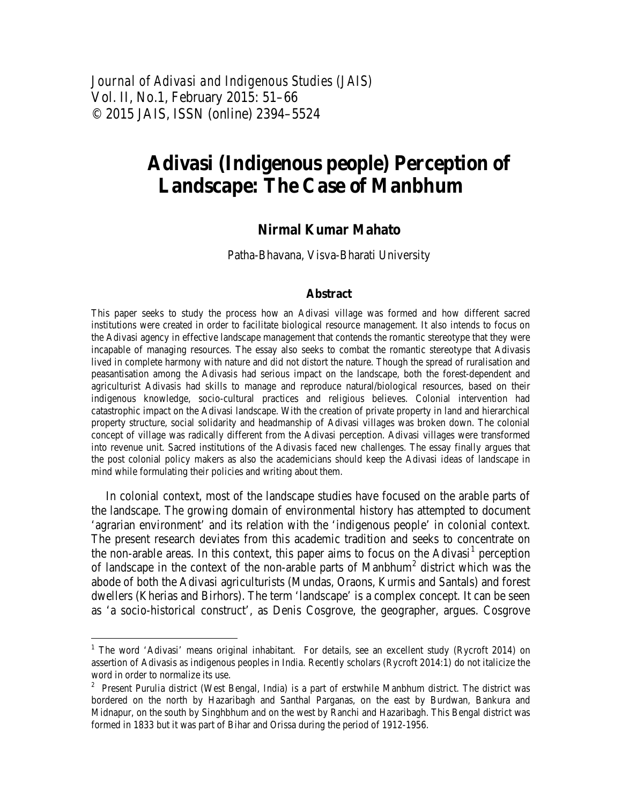*Journal of Adivasi and Indigenous Studies (JAIS)*  Vol. II, No.1, February 2015: 51–66 © 2015 JAIS, ISSN (online) 2394–5524

# **Adivasi (Indigenous people) Perception of Landscape: The Case of Manbhum**

# **Nirmal Kumar Mahato**

Patha-Bhavana, Visva-Bharati University

#### **Abstract**

This paper seeks to study the process how an Adivasi village was formed and how different sacred institutions were created in order to facilitate biological resource management. It also intends to focus on the Adivasi agency in effective landscape management that contends the romantic stereotype that they were incapable of managing resources. The essay also seeks to combat the romantic stereotype that Adivasis lived in complete harmony with nature and did not distort the nature. Though the spread of ruralisation and peasantisation among the Adivasis had serious impact on the landscape, both the forest-dependent and agriculturist Adivasis had skills to manage and reproduce natural/biological resources, based on their indigenous knowledge, socio-cultural practices and religious believes. Colonial intervention had catastrophic impact on the Adivasi landscape. With the creation of private property in land and hierarchical property structure, social solidarity and headmanship of Adivasi villages was broken down. The colonial concept of village was radically different from the Adivasi perception. Adivasi villages were transformed into revenue unit. Sacred institutions of the Adivasis faced new challenges. The essay finally argues that the post colonial policy makers as also the academicians should keep the Adivasi ideas of landscape in mind while formulating their policies and writing about them.

In colonial context, most of the landscape studies have focused on the arable parts of the landscape. The growing domain of environmental history has attempted to document 'agrarian environment' and its relation with the 'indigenous people' in colonial context. The present research deviates from this academic tradition and seeks to concentrate on the non-arable areas. In this context, this paper aims to focus on the Adivasi<sup>[1](#page-1-0)</sup> perception of landscape in the context of the non-arable parts of Manbhum<sup>[2](#page-1-1)</sup> district which was the abode of both the Adivasi agriculturists (Mundas, Oraons, Kurmis and Santals) and forest dwellers (Kherias and Birhors). The term 'landscape' is a complex concept. It can be seen as 'a socio-historical construct', as Denis Cosgrove, the geographer, argues. Cosgrove

<span id="page-1-0"></span><sup>&</sup>lt;sup>1</sup> The word 'Adivasi' means original inhabitant. For details, see an excellent study (Rycroft 2014) on assertion of Adivasis as indigenous peoples in India. Recently scholars (Rycroft 2014:1) do not italicize the word in order to normalize its use.

<span id="page-1-1"></span> $2$  Present Purulia district (West Bengal, India) is a part of erstwhile Manbhum district. The district was bordered on the north by Hazaribagh and Santhal Parganas, on the east by Burdwan, Bankura and Midnapur, on the south by Singhbhum and on the west by Ranchi and Hazaribagh. This Bengal district was formed in 1833 but it was part of Bihar and Orissa during the period of 1912-1956.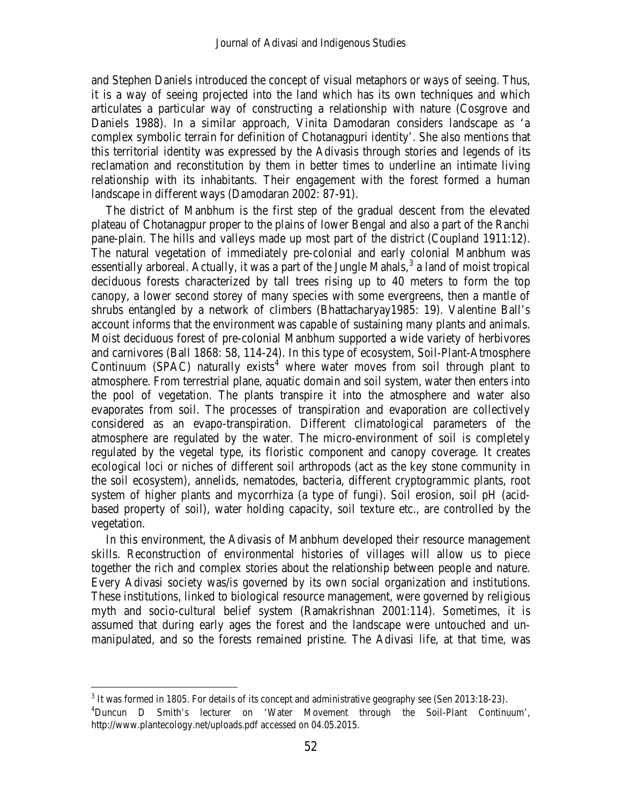and Stephen Daniels introduced the concept of visual metaphors or ways of seeing. Thus, it is a way of seeing projected into the land which has its own techniques and which articulates a particular way of constructing a relationship with nature (Cosgrove and Daniels 1988). In a similar approach, Vinita Damodaran considers landscape as 'a complex symbolic terrain for definition of Chotanagpuri identity'. She also mentions that this territorial identity was expressed by the Adivasis through stories and legends of its reclamation and reconstitution by them in better times to underline an intimate living relationship with its inhabitants. Their engagement with the forest formed a human landscape in different ways (Damodaran 2002: 87-91).

The district of Manbhum is the first step of the gradual descent from the elevated plateau of Chotanagpur proper to the plains of lower Bengal and also a part of the Ranchi pane-plain. The hills and valleys made up most part of the district (Coupland 1911:12). The natural vegetation of immediately pre-colonial and early colonial Manbhum was essentially arboreal. Actually, it was a part of the Jungle Mahals,  $3$  a land of moist tropical deciduous forests characterized by tall trees rising up to 40 meters to form the top canopy, a lower second storey of many species with some evergreens, then a mantle of shrubs entangled by a network of climbers (Bhattacharyay1985: 19). Valentine Ball's account informs that the environment was capable of sustaining many plants and animals. Moist deciduous forest of pre-colonial Manbhum supported a wide variety of herbivores and carnivores (Ball 1868: 58, 114-24). In this type of ecosystem, Soil-Plant-Atmosphere Continuum (SPAC) naturally exists<sup>[4](#page-2-1)</sup> where water moves from soil through plant to atmosphere. From terrestrial plane, aquatic domain and soil system, water then enters into the pool of vegetation. The plants transpire it into the atmosphere and water also evaporates from soil. The processes of transpiration and evaporation are collectively considered as an evapo-transpiration. Different climatological parameters of the atmosphere are regulated by the water. The micro-environment of soil is completely regulated by the vegetal type, its floristic component and canopy coverage. It creates ecological loci or niches of different soil arthropods (act as the key stone community in the soil ecosystem), annelids, nematodes, bacteria, different cryptogrammic plants, root system of higher plants and mycorrhiza (a type of fungi). Soil erosion, soil pH (acidbased property of soil), water holding capacity, soil texture etc., are controlled by the vegetation.

In this environment, the Adivasis of Manbhum developed their resource management skills. Reconstruction of environmental histories of villages will allow us to piece together the rich and complex stories about the relationship between people and nature. Every Adivasi society was/is governed by its own social organization and institutions. These institutions, linked to biological resource management, were governed by religious myth and socio-cultural belief system (Ramakrishnan 2001:114). Sometimes, it is assumed that during early ages the forest and the landscape were untouched and unmanipulated, and so the forests remained pristine. The Adivasi life, at that time, was

<span id="page-2-0"></span> $3$  It was formed in 1805. For details of its concept and administrative geography see (Sen 2013:18-23).

<span id="page-2-1"></span><sup>4</sup> Duncun D Smith's lecturer on 'Water Movement through the Soil-Plant Continuum', <http://www.plantecology.net/uploads.pdf> accessed on 04.05.2015.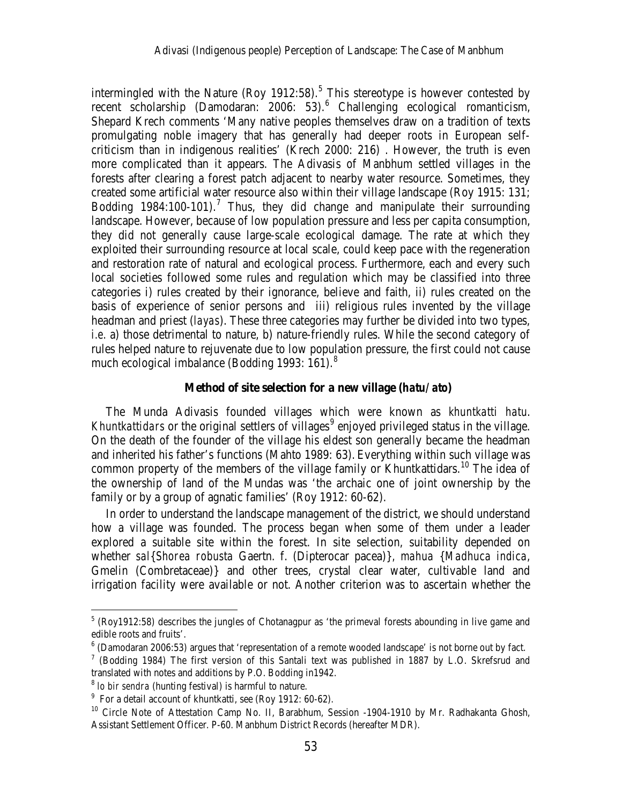intermingled with the Nature (Roy 1912:[5](#page-3-0)8).<sup>5</sup> This stereotype is however contested by recent scholarship (Damodaran:  $2006$  $2006$ : 53).<sup>6</sup> Challenging ecological romanticism, Shepard Krech comments 'Many native peoples themselves draw on a tradition of texts promulgating noble imagery that has generally had deeper roots in European selfcriticism than in indigenous realities' (Krech 2000: 216) . However, the truth is even more complicated than it appears. The Adivasis of Manbhum settled villages in the forests after clearing a forest patch adjacent to nearby water resource. Sometimes, they created some artificial water resource also within their village landscape (Roy 1915: 131; Bodding 1984:100-101).<sup>[7](#page-3-2)</sup> Thus, they did change and manipulate their surrounding landscape. However, because of low population pressure and less per capita consumption, they did not generally cause large-scale ecological damage. The rate at which they exploited their surrounding resource at local scale, could keep pace with the regeneration and restoration rate of natural and ecological process. Furthermore, each and every such local societies followed some rules and regulation which may be classified into three categories i) rules created by their ignorance, believe and faith, ii) rules created on the basis of experience of senior persons and iii) religious rules invented by the village headman and priest (*layas*). These three categories may further be divided into two types, *i.e.* a) those detrimental to nature, b) nature-friendly rules. While the second category of rules helped nature to rejuvenate due to low population pressure, the first could not cause much ecological imbalance (Bodding 1993: 161). $8$ 

#### **Method of site selection for a new village (***hatu/ ato***)**

The Munda Adivasis founded villages which were known as *khuntkatti hatu*. *Khuntkattidars* or the original settlers of villages [9](#page-3-4) enjoyed privileged status in the village. On the death of the founder of the village his eldest son generally became the headman and inherited his father's functions (Mahto 1989: 63). Everything within such village was common property of the members of the village family or Khuntkattidars.<sup>[10](#page-3-5)</sup> The idea of the ownership of land of the Mundas was 'the archaic one of joint ownership by the family or by a group of agnatic families' (Roy 1912: 60-62).

In order to understand the landscape management of the district, we should understand how a village was founded. The process began when some of them under a leader explored a suitable site within the forest. In site selection, suitability depended on whether *sal*{*Shorea robusta* Gaertn. f. (Dipterocar pacea)}*, mahua* {*Madhuca indica*, Gmelin (Combretaceae)} and other trees, crystal clear water, cultivable land and irrigation facility were available or not. Another criterion was to ascertain whether the

<span id="page-3-0"></span> $<sup>5</sup>$  (Roy1912:58) describes the jungles of Chotanagpur as 'the primeval forests abounding in live game and</sup> edible roots and fruits'.

<span id="page-3-1"></span><sup>6</sup> (Damodaran 2006:53) argues that 'representation of a remote wooded landscape' is not borne out by fact.

<span id="page-3-2"></span><sup>7</sup> (Bodding 1984) The first version of this Santali text was published in 1887 by L.O. Skrefsrud and translated with notes and additions by P.O. Bodding in1942.

<span id="page-3-3"></span> $8$  *lo bir sendra* (hunting festival) is harmful to nature.

<span id="page-3-4"></span> $9$  For a detail account of khuntkatti, see (Roy 1912: 60-62).

<span id="page-3-5"></span><sup>&</sup>lt;sup>10</sup> Circle Note of Attestation Camp No. II, Barabhum, Session -1904-1910 by Mr. Radhakanta Ghosh, Assistant Settlement Officer. P-60. Manbhum District Records (hereafter MDR).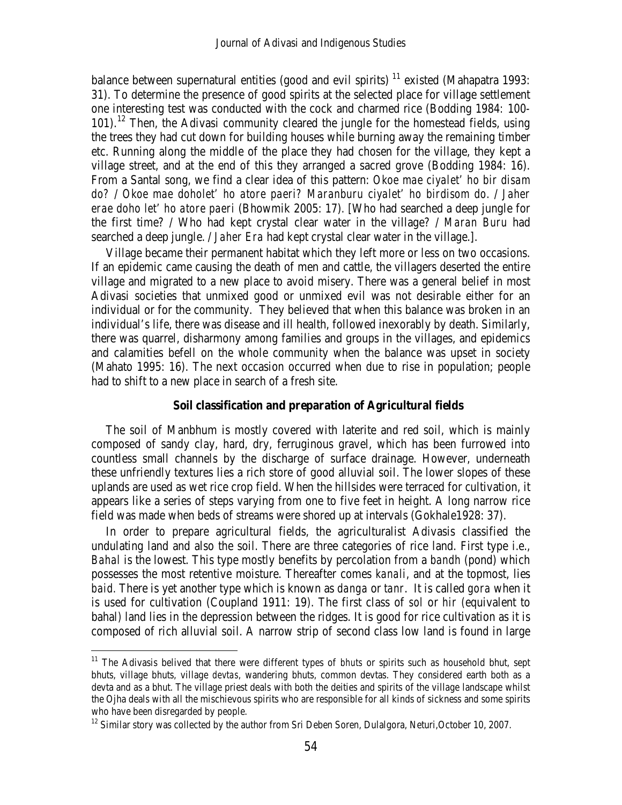balance between supernatural entities (good and evil spirits)  $11$  existed (Mahapatra 1993: 31). To determine the presence of good spirits at the selected place for village settlement one interesting test was conducted with the cock and charmed rice (Bodding 1984*:* 100-  $101$ ).<sup>[12](#page-4-1)</sup> Then, the Adivasi community cleared the jungle for the homestead fields, using the trees they had cut down for building houses while burning away the remaining timber etc. Running along the middle of the place they had chosen for the village, they kept a village street, and at the end of this they arranged a sacred grove (Bodding 1984: 16). From a Santal song, we find a clear idea of this pattern: *Okoe mae ciyalet' ho bir disam do?* / *Okoe mae doholet' ho atore paeri? Maranburu ciyalet' ho birdisom do.* / *Jaher erae doho let' ho atore paeri* (Bhowmik 2005: 17)*.* [Who had searched a deep jungle for the first time? / Who had kept crystal clear water in the village? / *Maran Buru* had searched a deep jungle. / *Jaher Era* had kept crystal clear water in the village.].

Village became their permanent habitat which they left more or less on two occasions. If an epidemic came causing the death of men and cattle, the villagers deserted the entire village and migrated to a new place to avoid misery. There was a general belief in most Adivasi societies that unmixed good or unmixed evil was not desirable either for an individual or for the community. They believed that when this balance was broken in an individual's life, there was disease and ill health, followed inexorably by death. Similarly, there was quarrel, disharmony among families and groups in the villages, and epidemics and calamities befell on the whole community when the balance was upset in society (Mahato 1995: 16). The next occasion occurred when due to rise in population; people had to shift to a new place in search of a fresh site.

#### **Soil classification and preparation of Agricultural fields**

The soil of Manbhum is mostly covered with laterite and red soil, which is mainly composed of sandy clay, hard, dry, ferruginous gravel, which has been furrowed into countless small channels by the discharge of surface drainage. However, underneath these unfriendly textures lies a rich store of good alluvial soil. The lower slopes of these uplands are used as wet rice crop field. When the hillsides were terraced for cultivation, it appears like a series of steps varying from one to five feet in height. A long narrow rice field was made when beds of streams were shored up at intervals (Gokhale1928: 37).

In order to prepare agricultural fields, the agriculturalist Adivasis classified the undulating land and also the soil. There are three categories of rice land. First type i.e., *Bahal* is the lowest. This type mostly benefits by percolation from a *bandh* (pond) which possesses the most retentive moisture. Thereafter comes *kanali*, and at the topmost, lies *baid.* There is yet another type which is known as *danga* or *tanr*. It is called *gora* when it is used for cultivation (Coupland 1911: 19*)*. The first class of *sol* or *hir (*equivalent to bahal*)* land lies in the depression between the ridges. It is good for rice cultivation as it is composed of rich alluvial soil. A narrow strip of second class low land is found in large

<span id="page-4-0"></span><sup>&</sup>lt;sup>11</sup> The Adivasis belived that there were different types of *bhuts* or spirits such as household bhut, sept bhuts, village bhuts, village *devtas*, wandering bhuts, common devtas. They considered earth both as a devta and as a bhut. The village priest deals with both the deities and spirits of the village landscape whilst the Ojha deals with all the mischievous spirits who are responsible for all kinds of sickness and some spirits who have been disregarded by people.

<span id="page-4-1"></span><sup>&</sup>lt;sup>12</sup> Similar story was collected by the author from Sri Deben Soren, Dulalgora, Neturi, October 10, 2007.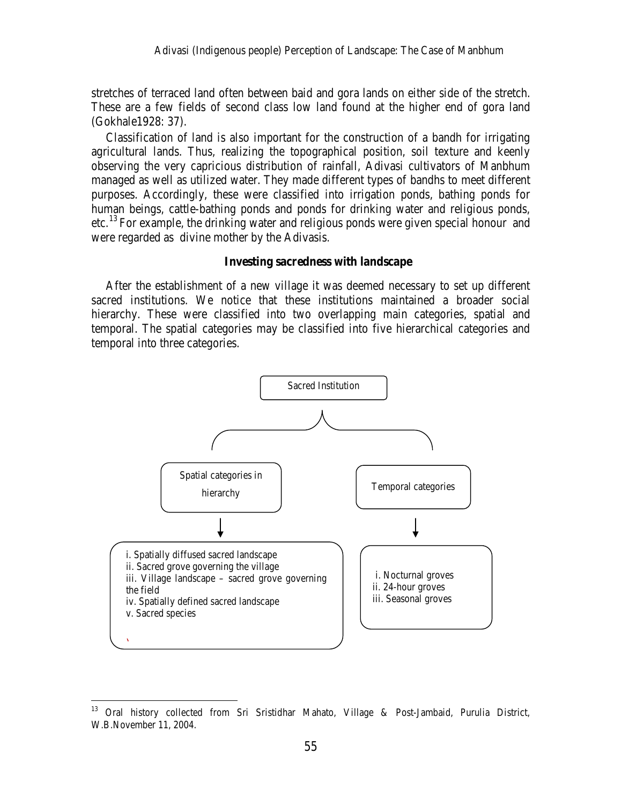stretches of terraced land often between baid and gora lands on either side of the stretch. These are a few fields of second class low land found at the higher end of gora land (Gokhale1928: 37).

Classification of land is also important for the construction of a bandh for irrigating agricultural lands. Thus, realizing the topographical position, soil texture and keenly observing the very capricious distribution of rainfall, Adivasi cultivators of Manbhum managed as well as utilized water. They made different types of bandhs to meet different purposes. Accordingly, these were classified into irrigation ponds, bathing ponds for human beings, cattle-bathing ponds and ponds for drinking water and religious ponds, etc.<sup>[13](#page-5-0)</sup> For example, the drinking water and religious ponds were given special honour and were regarded as divine mother by the Adivasis*.*

### **Investing sacredness with landscape**

After the establishment of a new village it was deemed necessary to set up different sacred institutions. We notice that these institutions maintained a broader social hierarchy. These were classified into two overlapping main categories, spatial and temporal. The spatial categories may be classified into five hierarchical categories and temporal into three categories.



<span id="page-5-0"></span><sup>&</sup>lt;sup>13</sup> Oral history collected from Sri Sristidhar Mahato, Village & Post-Jambaid, Purulia District, W.B.November 11, 2004.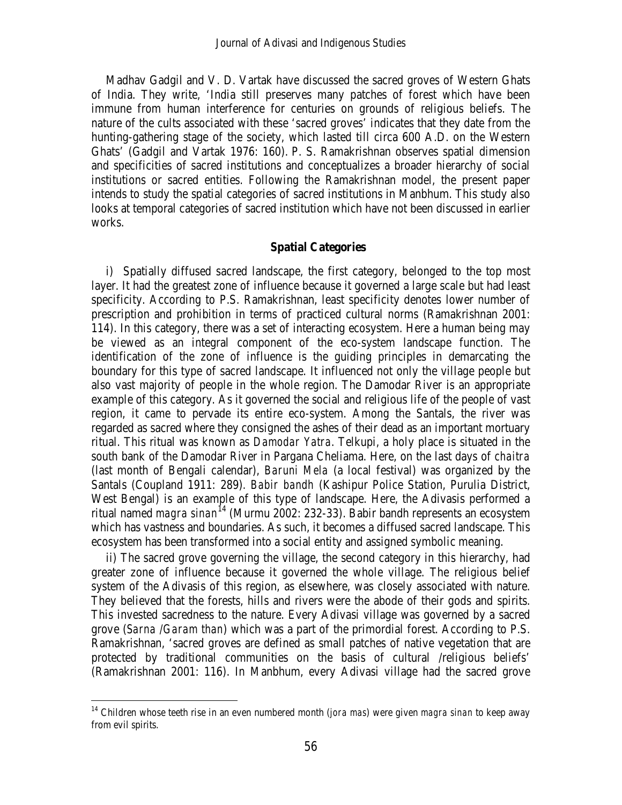Madhav Gadgil and V. D. Vartak have discussed the sacred groves of Western Ghats of India. They write, 'India still preserves many patches of forest which have been immune from human interference for centuries on grounds of religious beliefs. The nature of the cults associated with these 'sacred groves' indicates that they date from the hunting-gathering stage of the society, which lasted till circa 600 A.D. on the Western Ghats' (Gadgil and Vartak 1976: 160). P. S. Ramakrishnan observes spatial dimension and specificities of sacred institutions and conceptualizes a broader hierarchy of social institutions or sacred entities. Following the Ramakrishnan model, the present paper intends to study the spatial categories of sacred institutions in Manbhum. This study also looks at temporal categories of sacred institution which have not been discussed in earlier works.

# **Spatial Categories**

i) Spatially diffused sacred landscape, the first category, belonged to the top most layer. It had the greatest zone of influence because it governed a large scale but had least specificity. According to P.S. Ramakrishnan, least specificity denotes lower number of prescription and prohibition in terms of practiced cultural norms (Ramakrishnan 2001: 114). In this category, there was a set of interacting ecosystem. Here a human being may be viewed as an integral component of the eco-system landscape function. The identification of the zone of influence is the guiding principles in demarcating the boundary for this type of sacred landscape. It influenced not only the village people but also vast majority of people in the whole region. The Damodar River is an appropriate example of this category. As it governed the social and religious life of the people of vast region, it came to pervade its entire eco-system. Among the Santals, the river was regarded as sacred where they consigned the ashes of their dead as an important mortuary ritual. This ritual was known as *Damodar Yatra*. Telkupi, a holy place is situated in the south bank of the Damodar River in Pargana Cheliama. Here, on the last days of *chaitra*  (last month of Bengali calendar), *Baruni Mela* (a local festival) was organized by the Santals (Coupland 1911: 289)*. Babir bandh* (Kashipur Police Station, Purulia District, West Bengal) is an example of this type of landscape. Here, the Adivasis performed a ritual named *magra sinan* [14](#page-6-0) (Murmu 2002: 232-33). Babir bandh represents an ecosystem which has vastness and boundaries. As such, it becomes a diffused sacred landscape. This ecosystem has been transformed into a social entity and assigned symbolic meaning.

ii) The sacred grove governing the village, the second category in this hierarchy, had greater zone of influence because it governed the whole village. The religious belief system of the Adivasis of this region, as elsewhere, was closely associated with nature. They believed that the forests, hills and rivers were the abode of their gods and spirits. This invested sacredness to the nature. Every Adivasi village was governed by a sacred grove (*Sarna /Garam than*) which was a part of the primordial forest. According to P.S. Ramakrishnan, 'sacred groves are defined as small patches of native vegetation that are protected by traditional communities on the basis of cultural /religious beliefs' (Ramakrishnan 2001: 116). In Manbhum, every Adivasi village had the sacred grove

<span id="page-6-0"></span> <sup>14</sup> Children whose teeth rise in an even numbered month (*jora mas*) were given *magra sinan* to keep away from evil spirits.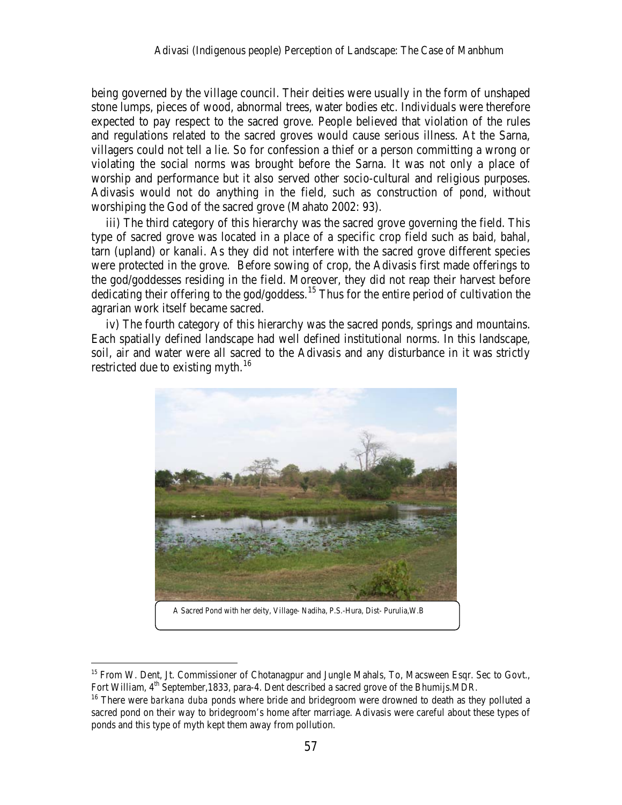being governed by the village council. Their deities were usually in the form of unshaped stone lumps, pieces of wood, abnormal trees, water bodies etc. Individuals were therefore expected to pay respect to the sacred grove. People believed that violation of the rules and regulations related to the sacred groves would cause serious illness. At the Sarna, villagers could not tell a lie. So for confession a thief or a person committing a wrong or violating the social norms was brought before the Sarna. It was not only a place of worship and performance but it also served other socio-cultural and religious purposes. Adivasis would not do anything in the field, such as construction of pond, without worshiping the God of the sacred grove (Mahato 2002: 93)*.*

iii) The third category of this hierarchy was the sacred grove governing the field. This type of sacred grove was located in a place of a specific crop field such as baid*,* bahal, tarn (upland) or kanali. As they did not interfere with the sacred grove different species were protected in the grove. Before sowing of crop, the Adivasis first made offerings to the god/goddesses residing in the field. Moreover, they did not reap their harvest before dedicating their offering to the god/goddess.<sup>[15](#page-7-0)</sup> Thus for the entire period of cultivation the agrarian work itself became sacred.

iv) The fourth category of this hierarchy was the sacred ponds, springs and mountains. Each spatially defined landscape had well defined institutional norms. In this landscape, soil, air and water were all sacred to the Adivasis and any disturbance in it was strictly restricted due to existing myth.<sup>16</sup>



A Sacred Pond with her deity, Village- Nadiha, P.S.-Hura, Dist- Purulia,W.B

<span id="page-7-0"></span><sup>&</sup>lt;sup>15</sup> From W. Dent, Jt. Commissioner of Chotanagpur and Jungle Mahals, To, Macsween Esqr. Sec to Govt., Fort William, 4<sup>th</sup> September,1833, para-4. Dent described a sacred grove of the Bhumijs.MDR.

<span id="page-7-1"></span><sup>&</sup>lt;sup>16</sup> There were *barkana duba* ponds where bride and bridegroom were drowned to death as they polluted a sacred pond on their way to bridegroom's home after marriage. Adivasis were careful about these types of ponds and this type of myth kept them away from pollution.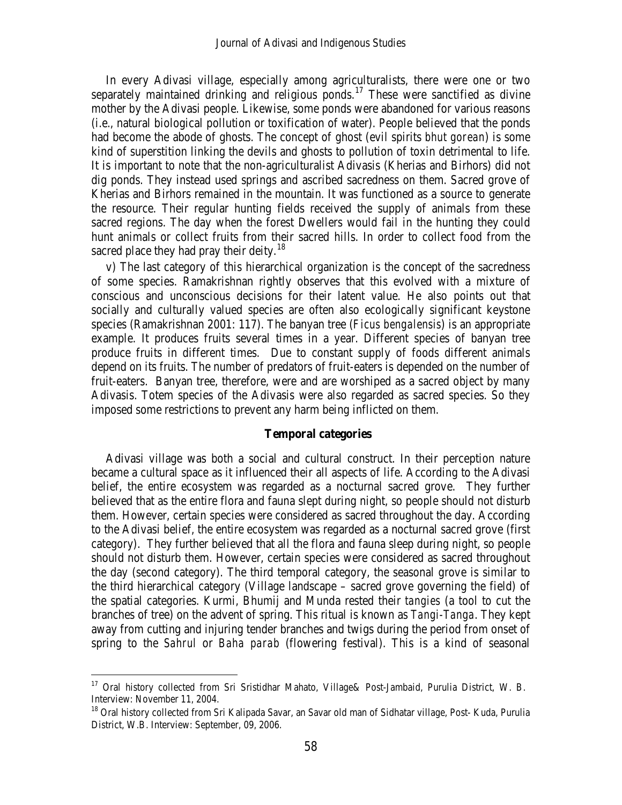In every Adivasi village, especially among agriculturalists, there were one or two separately maintained drinking and religious ponds.<sup>[17](#page-8-0)</sup> These were sanctified as divine mother by the Adivasi people. Likewise, some ponds were abandoned for various reasons (i.e., natural biological pollution or toxification of water). People believed that the ponds had become the abode of ghosts. The concept of ghost (evil spirits *bhut gorean*) is some kind of superstition linking the devils and ghosts to pollution of toxin detrimental to life. It is important to note that the non-agriculturalist Adivasis (Kherias and Birhors) did not dig ponds. They instead used springs and ascribed sacredness on them. Sacred grove of Kherias and Birhors remained in the mountain. It was functioned as a source to generate the resource. Their regular hunting fields received the supply of animals from these sacred regions. The day when the forest Dwellers would fail in the hunting they could hunt animals or collect fruits from their sacred hills. In order to collect food from the sacred place they had pray their deity.<sup>[18](#page-8-1)</sup>

v) The last category of this hierarchical organization is the concept of the sacredness of some species. Ramakrishnan rightly observes that this evolved with a mixture of conscious and unconscious decisions for their latent value. He also points out that socially and culturally valued species are often also ecologically significant keystone species (Ramakrishnan 2001: 117). The banyan tree (*Ficus bengalensis*) is an appropriate example. It produces fruits several times in a year. Different species of banyan tree produce fruits in different times. Due to constant supply of foods different animals depend on its fruits. The number of predators of fruit-eaters is depended on the number of fruit-eaters. Banyan tree, therefore, were and are worshiped as a sacred object by many Adivasis. Totem species of the Adivasis were also regarded as sacred species. So they imposed some restrictions to prevent any harm being inflicted on them.

# **Temporal categories**

Adivasi village was both a social and cultural construct. In their perception nature became a cultural space as it influenced their all aspects of life. According to the Adivasi belief, the entire ecosystem was regarded as a nocturnal sacred grove. They further believed that as the entire flora and fauna slept during night, so people should not disturb them. However, certain species were considered as sacred throughout the day. According to the Adivasi belief, the entire ecosystem was regarded as a nocturnal sacred grove (first category). They further believed that all the flora and fauna sleep during night, so people should not disturb them. However, certain species were considered as sacred throughout the day (second category). The third temporal category, the seasonal grove is similar to the third hierarchical category (Village landscape – sacred grove governing the field) of the spatial categories. Kurmi, Bhumij and Munda rested their *tangies* (a tool to cut the branches of tree) on the advent of spring. This ritual is known as *Tangi-Tanga*. They kept away from cutting and injuring tender branches and twigs during the period from onset of spring to the *Sahrul* or *Baha parab* (flowering festival). This is a kind of seasonal

<span id="page-8-0"></span><sup>&</sup>lt;sup>17</sup> Oral history collected from Sri Sristidhar Mahato, Village& Post-Jambaid, Purulia District, W. B.<br>Interview: November 11, 2004.

<span id="page-8-1"></span><sup>&</sup>lt;sup>18</sup> Oral history collected from Sri Kalipada Savar, an Savar old man of Sidhatar village, Post- Kuda, Purulia District, W.B. Interview: September, 09, 2006.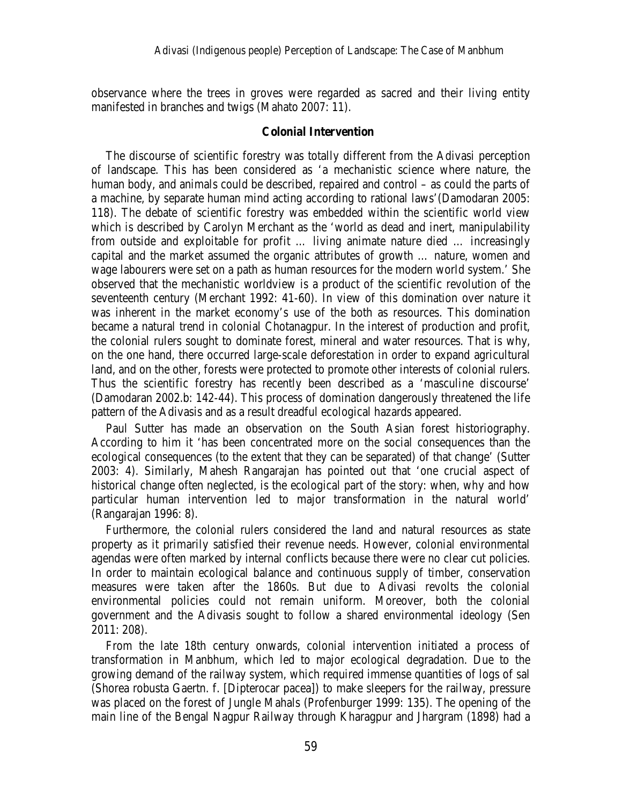observance where the trees in groves were regarded as sacred and their living entity manifested in branches and twigs (Mahato 2007: 11).

### **Colonial Intervention**

The discourse of scientific forestry was totally different from the Adivasi perception of landscape. This has been considered as 'a mechanistic science where nature, the human body, and animals could be described, repaired and control – as could the parts of a machine, by separate human mind acting according to rational laws'(Damodaran 2005: 118). The debate of scientific forestry was embedded within the scientific world view which is described by Carolyn Merchant as the 'world as dead and inert, manipulability from outside and exploitable for profit … living animate nature died … increasingly capital and the market assumed the organic attributes of growth … nature, women and wage labourers were set on a path as human resources for the modern world system.' She observed that the mechanistic worldview is a product of the scientific revolution of the seventeenth century (Merchant 1992: 41-60). In view of this domination over nature it was inherent in the market economy's use of the both as resources. This domination became a natural trend in colonial Chotanagpur. In the interest of production and profit, the colonial rulers sought to dominate forest, mineral and water resources. That is why, on the one hand, there occurred large-scale deforestation in order to expand agricultural land, and on the other, forests were protected to promote other interests of colonial rulers. Thus the scientific forestry has recently been described as a 'masculine discourse' (Damodaran 2002.b: 142-44). This process of domination dangerously threatened the life pattern of the Adivasis and as a result dreadful ecological hazards appeared.

Paul Sutter has made an observation on the South Asian forest historiography. According to him it 'has been concentrated more on the social consequences than the ecological consequences (to the extent that they can be separated) of that change' (Sutter 2003: 4). Similarly, Mahesh Rangarajan has pointed out that 'one crucial aspect of historical change often neglected, is the ecological part of the story: when, why and how particular human intervention led to major transformation in the natural world' (Rangarajan 1996: 8).

Furthermore, the colonial rulers considered the land and natural resources as state property as it primarily satisfied their revenue needs. However, colonial environmental agendas were often marked by internal conflicts because there were no clear cut policies. In order to maintain ecological balance and continuous supply of timber, conservation measures were taken after the 1860s. But due to Adivasi revolts the colonial environmental policies could not remain uniform. Moreover, both the colonial government and the Adivasis sought to follow a shared environmental ideology (Sen 2011: 208).

From the late 18th century onwards, colonial intervention initiated a process of transformation in Manbhum, which led to major ecological degradation. Due to the growing demand of the railway system, which required immense quantities of logs of sal (Shorea robusta Gaertn. f. [Dipterocar pacea]) to make sleepers for the railway, pressure was placed on the forest of Jungle Mahals (Profenburger 1999: 135). The opening of the main line of the Bengal Nagpur Railway through Kharagpur and Jhargram (1898) had a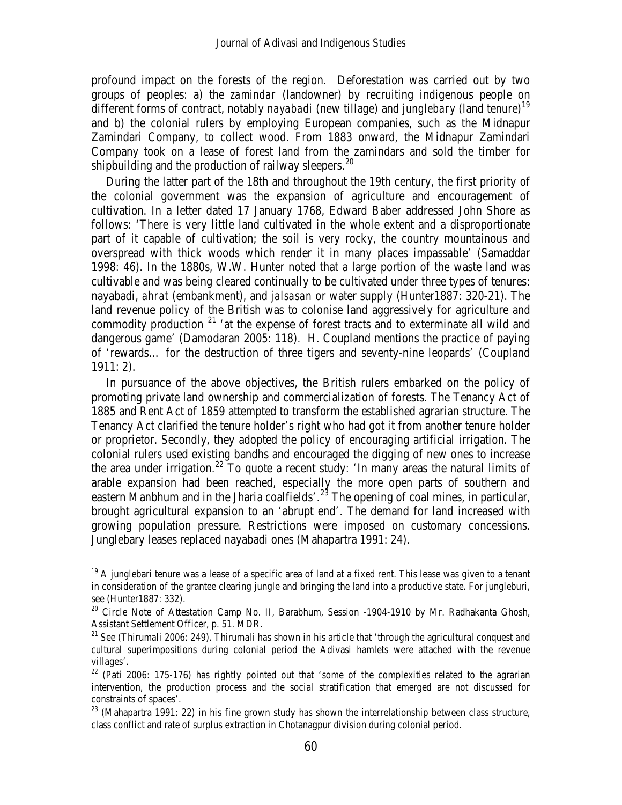profound impact on the forests of the region. Deforestation was carried out by two groups of peoples: a) the *zamindar* (landowner) by recruiting indigenous people on different forms of contract, notably *nayabadi* (new tillage) and *junglebary* (land tenure)<sup>[19](#page-10-0)</sup> and b) the colonial rulers by employing European companies, such as the Midnapur Zamindari Company, to collect wood. From 1883 onward, the Midnapur Zamindari Company took on a lease of forest land from the zamindars and sold the timber for shipbuilding and the production of railway sleepers.<sup>[20](#page-10-1)</sup>

During the latter part of the 18th and throughout the 19th century, the first priority of the colonial government was the expansion of agriculture and encouragement of cultivation. In a letter dated 17 January 1768, Edward Baber addressed John Shore as follows: 'There is very little land cultivated in the whole extent and a disproportionate part of it capable of cultivation; the soil is very rocky, the country mountainous and overspread with thick woods which render it in many places impassable' (Samaddar 1998: 46). In the 1880s, W.W. Hunter noted that a large portion of the waste land was cultivable and was being cleared continually to be cultivated under three types of tenures: nayabadi, *ahrat* (embankment), and *jalsasan* or water supply (Hunter1887: 320-21). The land revenue policy of the British was to colonise land aggressively for agriculture and commodity production  $21$  'at the expense of forest tracts and to exterminate all wild and dangerous game' (Damodaran 2005: 118). H. Coupland mentions the practice of paying of 'rewards… for the destruction of three tigers and seventy-nine leopards' (Coupland 1911: 2).

In pursuance of the above objectives, the British rulers embarked on the policy of promoting private land ownership and commercialization of forests. The Tenancy Act of 1885 and Rent Act of 1859 attempted to transform the established agrarian structure. The Tenancy Act clarified the tenure holder's right who had got it from another tenure holder or proprietor. Secondly, they adopted the policy of encouraging artificial irrigation. The colonial rulers used existing bandhs and encouraged the digging of new ones to increase the area under irrigation.<sup>[22](#page-10-3)</sup> To quote a recent study: 'In many areas the natural limits of arable expansion had been reached, especially the more open parts of southern and eastern Manbhum and in the Jharia coalfields'.<sup>[23](#page-10-4)</sup> The opening of coal mines, in particular, brought agricultural expansion to an 'abrupt end'. The demand for land increased with growing population pressure. Restrictions were imposed on customary concessions. Junglebary leases replaced nayabadi ones (Mahapartra 1991: 24).

<span id="page-10-0"></span> $19$  A junglebari tenure was a lease of a specific area of land at a fixed rent. This lease was given to a tenant in consideration of the grantee clearing jungle and bringing the land into a productive state. For jungleburi*,*  see (Hunter1887: 332).

<span id="page-10-1"></span><sup>&</sup>lt;sup>20</sup> Circle Note of Attestation Camp No. II, Barabhum, Session -1904-1910 by Mr. Radhakanta Ghosh, Assistant Settlement Officer, p. 51. MDR.

<span id="page-10-2"></span><sup>&</sup>lt;sup>21</sup> See (Thirumali 2006: 249). Thirumali has shown in his article that 'through the agricultural conquest and cultural superimpositions during colonial period the Adivasi hamlets were attached with the revenue villages'.

<span id="page-10-3"></span> $22$  (Pati 2006: 175-176) has rightly pointed out that 'some of the complexities related to the agrarian intervention, the production process and the social stratification that emerged are not discussed for constraints of spaces'.

<span id="page-10-4"></span><sup>&</sup>lt;sup>23</sup> (Mahapartra 1991: 22) in his fine grown study has shown the interrelationship between class structure, class conflict and rate of surplus extraction in Chotanagpur division during colonial period.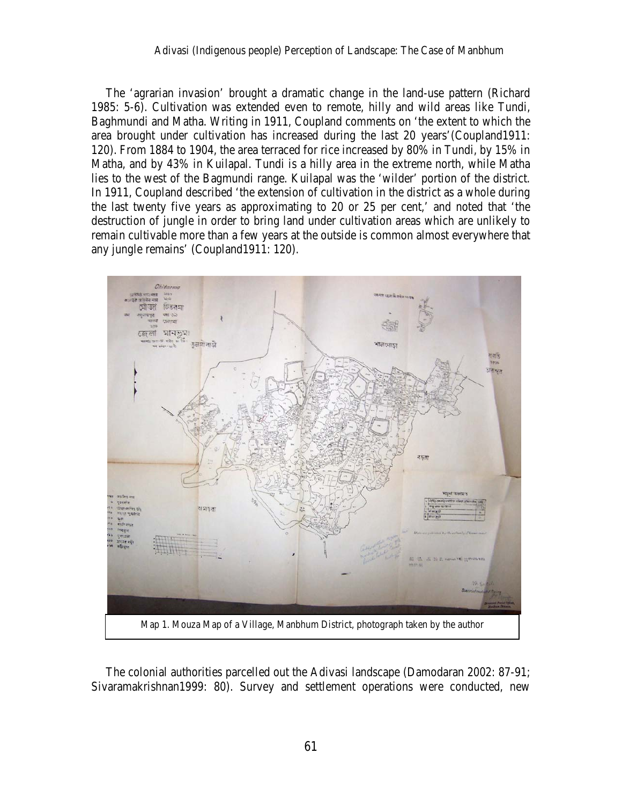The 'agrarian invasion' brought a dramatic change in the land-use pattern (Richard 1985: 5-6). Cultivation was extended even to remote, hilly and wild areas like Tundi, Baghmundi and Matha. Writing in 1911, Coupland comments on 'the extent to which the area brought under cultivation has increased during the last 20 years'(Coupland1911: 120). From 1884 to 1904, the area terraced for rice increased by 80% in Tundi, by 15% in Matha, and by 43% in Kuilapal. Tundi is a hilly area in the extreme north, while Matha lies to the west of the Bagmundi range. Kuilapal was the 'wilder' portion of the district. In 1911, Coupland described 'the extension of cultivation in the district as a whole during the last twenty five years as approximating to 20 or 25 per cent,' and noted that 'the destruction of jungle in order to bring land under cultivation areas which are unlikely to remain cultivable more than a few years at the outside is common almost everywhere that any jungle remains' (Coupland1911: 120).



The colonial authorities parcelled out the Adivasi landscape (Damodaran 2002: 87-91; Sivaramakrishnan1999: 80). Survey and settlement operations were conducted, new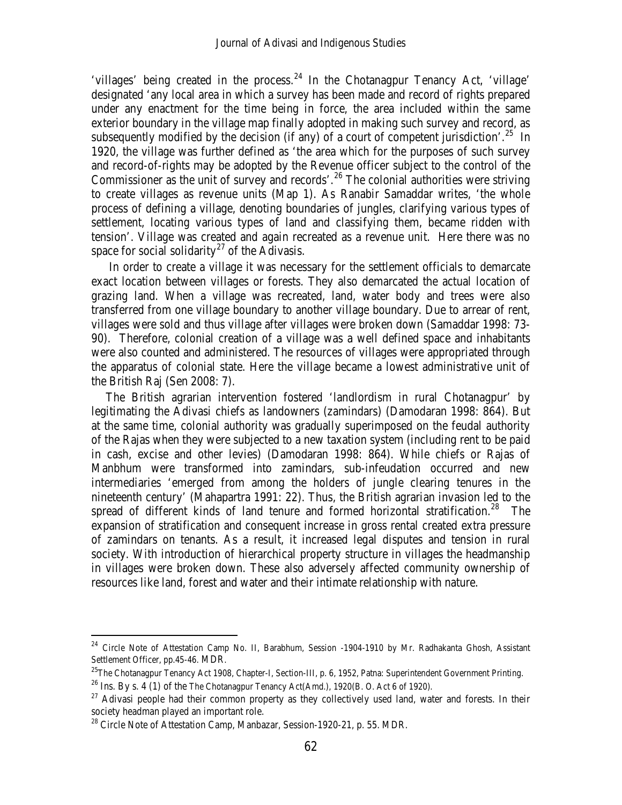'villages' being created in the process.<sup>[24](#page-12-0)</sup> In the Chotanagpur Tenancy Act, 'village' designated 'any local area in which a survey has been made and record of rights prepared under any enactment for the time being in force, the area included within the same exterior boundary in the village map finally adopted in making such survey and record, as subsequently modified by the decision (if any) of a court of competent jurisdiction'.<sup>25</sup> In 1920, the village was further defined as 'the area which for the purposes of such survey and record-of-rights may be adopted by the Revenue officer subject to the control of the Commissioner as the unit of survey and records'.<sup>[26](#page-12-2)</sup> The colonial authorities were striving to create villages as revenue units (Map 1). As Ranabir Samaddar writes, 'the whole process of defining a village, denoting boundaries of jungles, clarifying various types of settlement, locating various types of land and classifying them, became ridden with tension'. Village was created and again recreated as a revenue unit. Here there was no space for social solidarity<sup>[27](#page-12-3)</sup> of the Adivasis.

In order to create a village it was necessary for the settlement officials to demarcate exact location between villages or forests. They also demarcated the actual location of grazing land. When a village was recreated, land, water body and trees were also transferred from one village boundary to another village boundary. Due to arrear of rent, villages were sold and thus village after villages were broken down (Samaddar 1998: 73- 90). Therefore, colonial creation of a village was a well defined space and inhabitants were also counted and administered. The resources of villages were appropriated through the apparatus of colonial state. Here the village became a lowest administrative unit of the British Raj (Sen 2008: 7).

The British agrarian intervention fostered 'landlordism in rural Chotanagpur' by legitimating the Adivasi chiefs as landowners (zamindars) (Damodaran 1998: 864). But at the same time, colonial authority was gradually superimposed on the feudal authority of the Rajas when they were subjected to a new taxation system (including rent to be paid in cash, excise and other levies) (Damodaran 1998: 864). While chiefs or Rajas of Manbhum were transformed into zamindars, sub-infeudation occurred and new intermediaries 'emerged from among the holders of jungle clearing tenures in the nineteenth century' (Mahapartra 1991: 22). Thus, the British agrarian invasion led to the spread of different kinds of land tenure and formed horizontal stratification.<sup>[28](#page-12-4)</sup> The expansion of stratification and consequent increase in gross rental created extra pressure of zamindars on tenants. As a result, it increased legal disputes and tension in rural society. With introduction of hierarchical property structure in villages the headmanship in villages were broken down. These also adversely affected community ownership of resources like land, forest and water and their intimate relationship with nature.

<span id="page-12-0"></span><sup>&</sup>lt;sup>24</sup> Circle Note of Attestation Camp No. II, Barabhum, Session -1904-1910 by Mr. Radhakanta Ghosh, Assistant Settlement Officer, pp.45-46. MDR.

<span id="page-12-1"></span><sup>&</sup>lt;sup>25</sup>The Chotanagpur Tenancy Act 1908, Chapter-I, Section-III, p. 6, 1952, Patna: Superintendent Government Printing.

<span id="page-12-2"></span><sup>&</sup>lt;sup>26</sup> Ins. By s. 4 (1) of the The Chotanagpur Tenancy Act(Amd.), 1920(B. O. Act 6 of 1920).

<span id="page-12-3"></span> $27$  Adivasi people had their common property as they collectively used land, water and forests. In their society headman played an important role.

<span id="page-12-4"></span><sup>&</sup>lt;sup>28</sup> Circle Note of Attestation Camp, Manbazar, Session-1920-21, p. 55. MDR.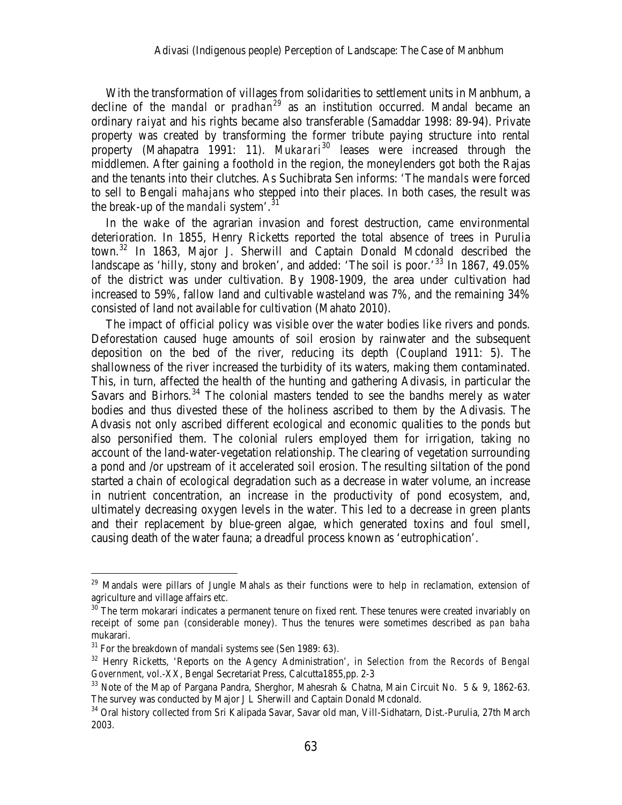With the transformation of villages from solidarities to settlement units in Manbhum, a decline of the *mandal* or *pradhan[29](#page-13-0)* as an institution occurred. Mandal became an ordinary *raiyat* and his rights became also transferable (Samaddar 1998: 89-94). Private property was created by transforming the former tribute paying structure into rental property (Mahapatra 1991: 11). *Mukarari*<sup>[30](#page-13-1)</sup> leases were increased through the middlemen. After gaining a foothold in the region, the moneylenders got both the Rajas and the tenants into their clutches. As Suchibrata Sen informs: 'The *mandals* were forced to sell to Bengali *mahajans* who stepped into their places. In both cases, the result was the break-up of the *mandali* system<sup>'.3</sup>

In the wake of the agrarian invasion and forest destruction, came environmental deterioration. In 1855, Henry Ricketts reported the total absence of trees in Purulia town.<sup>[32](#page-13-3)</sup> In 1863, Major J. Sherwill and Captain Donald Mcdonald described the landscape as 'hilly, stony and broken', and added: 'The soil is poor.'<sup>[33](#page-13-4)</sup> In 1867, 49.05% of the district was under cultivation. By 1908-1909, the area under cultivation had increased to 59%, fallow land and cultivable wasteland was 7%, and the remaining 34% consisted of land not available for cultivation (Mahato 2010).

The impact of official policy was visible over the water bodies like rivers and ponds. Deforestation caused huge amounts of soil erosion by rainwater and the subsequent deposition on the bed of the river, reducing its depth (Coupland 1911: 5). The shallowness of the river increased the turbidity of its waters, making them contaminated. This, in turn, affected the health of the hunting and gathering Adivasis, in particular the Savars and Birhors.<sup>[34](#page-13-5)</sup> The colonial masters tended to see the bandhs merely as water bodies and thus divested these of the holiness ascribed to them by the Adivasis. The Advasis not only ascribed different ecological and economic qualities to the ponds but also personified them. The colonial rulers employed them for irrigation, taking no account of the land-water-vegetation relationship. The clearing of vegetation surrounding a pond and /or upstream of it accelerated soil erosion. The resulting siltation of the pond started a chain of ecological degradation such as a decrease in water volume, an increase in nutrient concentration, an increase in the productivity of pond ecosystem, and, ultimately decreasing oxygen levels in the water. This led to a decrease in green plants and their replacement by blue-green algae, which generated toxins and foul smell, causing death of the water fauna; a dreadful process known as 'eutrophication'.

<span id="page-13-0"></span> $29$  Mandals were pillars of Jungle Mahals as their functions were to help in reclamation, extension of agriculture and village affairs etc.

<span id="page-13-1"></span> $30$  The term mokarari indicates a permanent tenure on fixed rent. These tenures were created invariably on receipt of some *pan* (considerable money). Thus the tenures were sometimes described as *pan baha*  mukarari.

<span id="page-13-3"></span><span id="page-13-2"></span><sup>&</sup>lt;sup>31</sup> For the breakdown of mandali systems see (Sen 1989: 63).<br><sup>32</sup> Henry Ricketts, 'Reports on the Agency Administration', in *Selection from the Records of Bengal Government*, vol.-XX, Bengal Secretariat Press, Calcutta1855,pp. 2-3

<span id="page-13-4"></span><sup>&</sup>lt;sup>33</sup> Note of the Map of Pargana Pandra, Sherghor, Mahesrah & Chatna, Main Circuit No. 5 & 9, 1862-63. The survey was conducted by Major J L Sherwill and Captain Donald Mcdonald.

<span id="page-13-5"></span><sup>&</sup>lt;sup>34</sup> Oral history collected from Sri Kalipada Savar, Savar old man, Vill-Sidhatarn, Dist.-Purulia, 27th March 2003.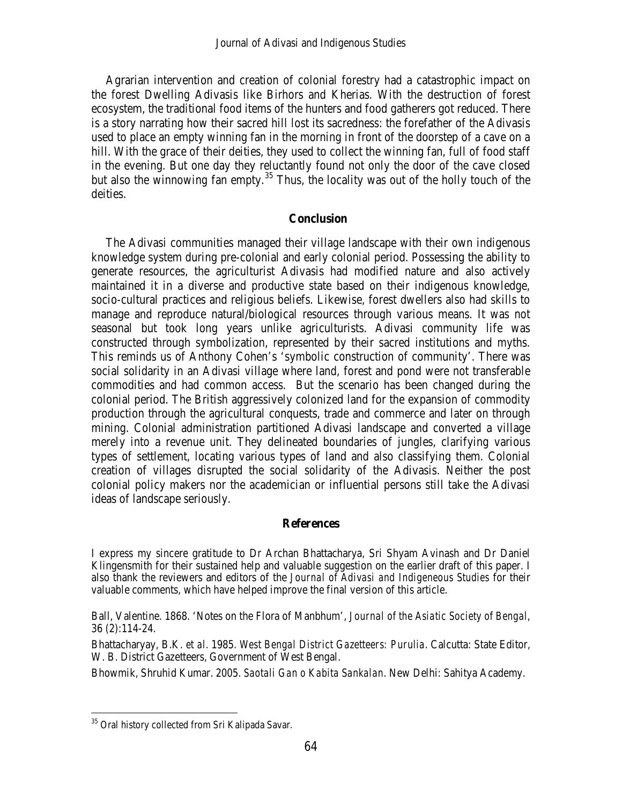Agrarian intervention and creation of colonial forestry had a catastrophic impact on the forest Dwelling Adivasis like Birhors and Kherias. With the destruction of forest ecosystem, the traditional food items of the hunters and food gatherers got reduced. There is a story narrating how their sacred hill lost its sacredness: the forefather of the Adivasis used to place an empty winning fan in the morning in front of the doorstep of a cave on a hill. With the grace of their deities, they used to collect the winning fan, full of food staff in the evening. But one day they reluctantly found not only the door of the cave closed but also the winnowing fan empty.<sup>[35](#page-14-0)</sup> Thus, the locality was out of the holly touch of the deities.

# **Conclusion**

The Adivasi communities managed their village landscape with their own indigenous knowledge system during pre-colonial and early colonial period. Possessing the ability to generate resources, the agriculturist Adivasis had modified nature and also actively maintained it in a diverse and productive state based on their indigenous knowledge, socio-cultural practices and religious beliefs. Likewise, forest dwellers also had skills to manage and reproduce natural/biological resources through various means. It was not seasonal but took long years unlike agriculturists. Adivasi community life was constructed through symbolization, represented by their sacred institutions and myths. This reminds us of Anthony Cohen's 'symbolic construction of community'. There was social solidarity in an Adivasi village where land, forest and pond were not transferable commodities and had common access. But the scenario has been changed during the colonial period. The British aggressively colonized land for the expansion of commodity production through the agricultural conquests, trade and commerce and later on through mining. Colonial administration partitioned Adivasi landscape and converted a village merely into a revenue unit. They delineated boundaries of jungles, clarifying various types of settlement, locating various types of land and also classifying them. Colonial creation of villages disrupted the social solidarity of the Adivasis. Neither the post colonial policy makers nor the academician or influential persons still take the Adivasi ideas of landscape seriously.

#### **References**

I express my sincere gratitude to Dr Archan Bhattacharya, Sri Shyam Avinash and Dr Daniel Klingensmith for their sustained help and valuable suggestion on the earlier draft of this paper. I also thank the reviewers and editors of the *Journal of Adivasi and Indigeneous Studies* for their valuable comments, which have helped improve the final version of this article.

Ball, Valentine. 1868. 'Notes on the Flora of Manbhum', *Journal of the Asiatic Society of Bengal*, 36 (2):114-24.

Bhattacharyay, B.K. *et al*. 1985. *West Bengal District Gazetteers: Purulia*. Calcutta: State Editor, W. B. District Gazetteers, Government of West Bengal.

Bhowmik, Shruhid Kumar. 2005. *Saotali Gan o Kabita Sankalan*. New Delhi: Sahitya Academy.

<span id="page-14-0"></span><sup>&</sup>lt;sup>35</sup> Oral history collected from Sri Kalipada Savar.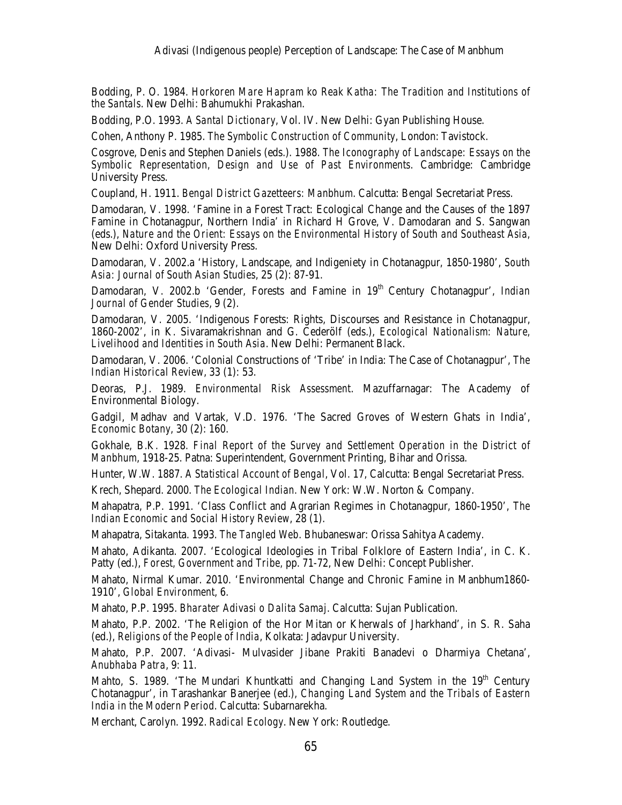Bodding, P. O. 1984. *Horkoren Mare Hapram ko Reak Katha: The Tradition and Institutions of the Santals*. New Delhi: Bahumukhi Prakashan.

Bodding, P.O. 1993. *A Santal Dictionary*, Vol. IV. New Delhi: Gyan Publishing House.

Cohen, Anthony P. 1985. *The Symbolic Construction of Community*, London: Tavistock.

Cosgrove, Denis and Stephen Daniels (eds.). 1988. *The Iconography of Landscape: Essays on the Symbolic Representation, Design and Use of Past Environments*. Cambridge: Cambridge University Press.

Coupland, H. 1911. *Bengal District Gazetteers: Manbhum*. Calcutta: Bengal Secretariat Press.

Damodaran, V. 1998. 'Famine in a Forest Tract: Ecological Change and the Causes of the 1897 Famine in Chotanagpur, Northern India' in Richard H Grove, V. Damodaran and S. Sangwan (eds.), *Nature and the Orient: Essays on the Environmental History of South and Southeast Asia,* New Delhi: Oxford University Press.

Damodaran, V. 2002.a 'History, Landscape, and Indigeniety in Chotanagpur, 1850-1980', *South Asia: Journal of South Asian Studies*, 25 (2): 87-91.

Damodaran, V. 2002.b 'Gender, Forests and Famine in 19<sup>th</sup> Century Chotanagpur', *Indian Journal of Gender Studies*, 9 (2).

Damodaran, V. 2005. 'Indigenous Forests: Rights, Discourses and Resistance in Chotanagpur, 1860-2002', in K. Sivaramakrishnan and G. Cederölf (eds.), *Ecological Nationalism: Nature, Livelihood and Identities in South Asia*. New Delhi: Permanent Black.

Damodaran, V. 2006. 'Colonial Constructions of 'Tribe' in India: The Case of Chotanagpur', *The Indian Historical Review*, 33 (1): 53.

Deoras, P.J. 1989. *Environmental Risk Assessment*. Mazuffarnagar: The Academy of Environmental Biology.

Gadgil, Madhav and Vartak, V.D. 1976. 'The Sacred Groves of Western Ghats in India', *Economic Botany*, 30 (2): 160.

Gokhale, B.K. 1928*. Final Report of the Survey and Settlement Operation in the District of Manbhum*, 1918-25. Patna: Superintendent, Government Printing, Bihar and Orissa.

Hunter, W.W. 1887. *A Statistical Account of Bengal*, Vol. 17, Calcutta: Bengal Secretariat Press.

Krech, Shepard. 2000. *The Ecological Indian.* New York: W.W. Norton & Company.

Mahapatra, P.P. 1991. 'Class Conflict and Agrarian Regimes in Chotanagpur, 1860-1950', *The Indian Economic and Social History Review*, 28 (1).

Mahapatra, Sitakanta. 1993. *The Tangled Web*. Bhubaneswar: Orissa Sahitya Academy.

Mahato, Adikanta. 2007. 'Ecological Ideologies in Tribal Folklore of Eastern India', in C. K. Patty (ed.), *Forest, Government and Tribe,* pp. 71-72, New Delhi: Concept Publisher.

Mahato, Nirmal Kumar. 2010. 'Environmental Change and Chronic Famine in Manbhum1860- 1910', *Global Environment*, 6.

Mahato, P.P. 1995. *Bharater Adivasi o Dalita Samaj*. Calcutta: Sujan Publication.

Mahato, P.P. 2002. 'The Religion of the Hor Mitan or Kherwals of Jharkhand', in S. R. Saha (ed.), *Religions of the People of India*, Kolkata: Jadavpur University.

Mahato, P.P. 2007. 'Adivasi- Mulvasider Jibane Prakiti Banadevi o Dharmiya Chetana', *Anubhaba Patra*, 9: 11.

Mahto, S. 1989. 'The Mundari Khuntkatti and Changing Land System in the 19<sup>th</sup> Century Chotanagpur', in Tarashankar Banerjee (ed.), *Changing Land System and the Tribals of Eastern India in the Modern Period*. Calcutta: Subarnarekha.

Merchant, Carolyn. 1992. *Radical Ecology*. New York: Routledge.